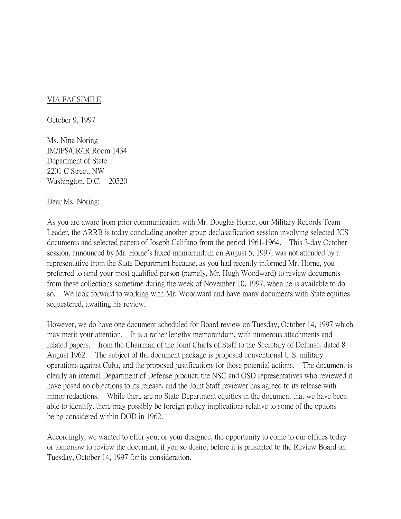## VIA FACSIMILE

October 9, 1997

Ms. Nina Noring IM/IPS/CR/IR Room 1434 Department of State 2201 C Street, NW Washington, D.C. 20520

Dear Ms. Noring:

As you are aware from prior communication with Mr. Douglas Horne, our Military Records Team Leader, the ARRB is today concluding another group declassification session involving selected JCS documents and selected papers of Joseph Califano from the period 1961-1964. This 3-day October session, announced by Mr. Horne's faxed memorandum on August 5, 1997, was not attended by a representative from the State Department because, as you had recently informed Mr. Horne, you preferred to send your most qualified person (namely, Mr. Hugh Woodward) to review documents from these collections sometime during the week of November 10, 1997, when he is available to do so. We look forward to working with Mr. Woodward and have many documents with State equities sequestered, awaiting his review.

However, we do have one document scheduled for Board review on Tuesday, October 14, 1997 which may merit your attention. It is a rather lengthy memorandum, with numerous attachments and related papers, from the Chairman of the Joint Chiefs of Staff to the Secretary of Defense, dated 8 August 1962. The subject of the document package is proposed conventional U.S. military operations against Cuba, and the proposed justifications for those potential actions. The document is clearly an internal Department of Defense product; the NSC and OSD representatives who reviewed it have posed no objections to its release, and the Joint Staff reviewer has agreed to its release with minor redactions. While there are no State Department equities in the document that we have been able to identify, there may possibly be foreign policy implications relative to some of the options being considered within DOD in 1962.

Accordingly, we wanted to offer you, or your designee, the opportunity to come to our offices today or tomorrow to review the document, if you so desire, before it is presented to the Review Board on Tuesday, October 14, 1997 for its consideration.